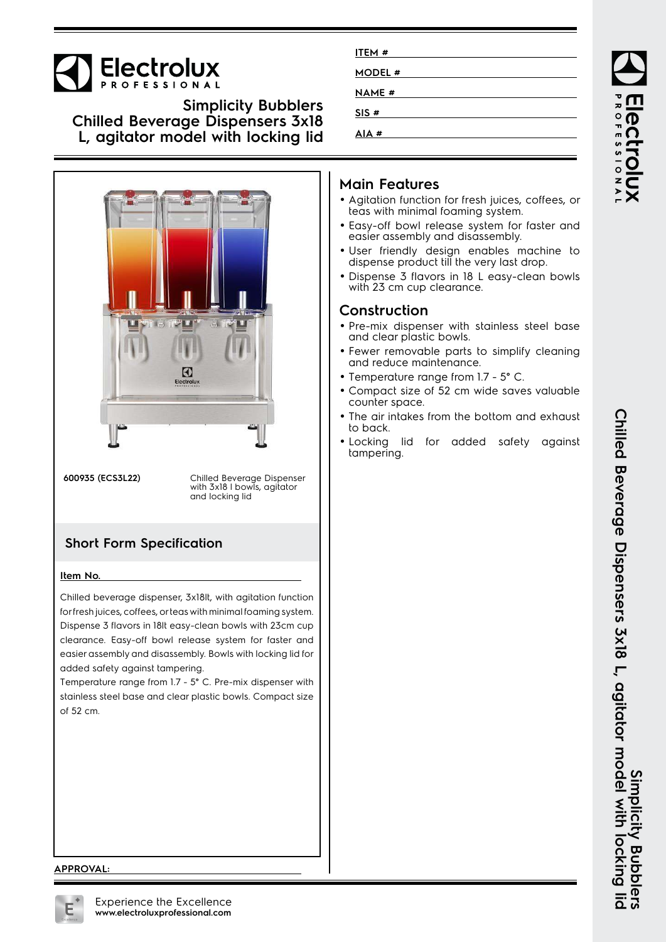

**Simplicity Bubblers Chilled Beverage Dispensers 3x18 L, agitator model with locking lid**



**600935 (ECS3L22)** Chilled Beverage Dispenser with 3x18 I bowls, agitator and locking lid

## **Short Form Specification**

#### **Item No.**

Chilled beverage dispenser, 3x18lt, with agitation function for fresh juices, coffees, or teas with minimal foaming system. Dispense 3 flavors in 18lt easy-clean bowls with 23cm cup clearance. Easy-off bowl release system for faster and easier assembly and disassembly. Bowls with locking lid for added safety against tampering.

Temperature range from 1.7 - 5° C. Pre-mix dispenser with stainless steel base and clear plastic bowls. Compact size of 52 cm.

| ITEM#        |  |
|--------------|--|
| MODEL #      |  |
| <b>NAME#</b> |  |
| SIS#         |  |
| AIA#         |  |

## **Main Features**

- Agitation function for fresh juices, coffees, or teas with minimal foaming system.
- Easy-off bowl release system for faster and easier assembly and disassembly.
- User friendly design enables machine to dispense product till the very last drop.
- Dispense 3 flavors in 18 L easy-clean bowls with 23 cm cup clearance.

### **Construction**

- Pre-mix dispenser with stainless steel base and clear plastic bowls.
- Fewer removable parts to simplify cleaning and reduce maintenance.
- Temperature range from 1.7 5° C.
- Compact size of 52 cm wide saves valuable counter space.
- • The air intakes from the bottom and exhaust to back.
- Locking lid for added safety against tampering.

#### **APPROVAL:**